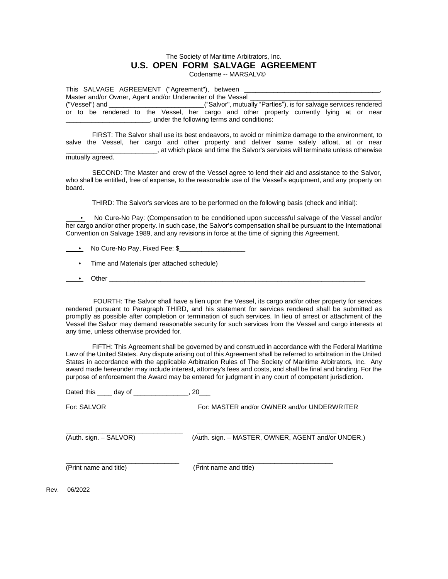## The Society of Maritime Arbitrators, Inc. **U.S. OPEN FORM SALVAGE AGREEMENT** Codename -- MARSALV©

This SALVAGE AGREEMENT ("Agreement"), between Master and/or Owner, Agent and/or Underwriter of the Vessel ("Vessel") and \_\_\_\_\_\_\_\_\_\_\_\_\_\_\_\_\_\_\_\_\_\_\_\_\_\_("Salvor", mutually "Parties"), is for salvage services rendered or to be rendered to the Vessel, her cargo and other property currently lying at or near \_\_\_\_\_\_\_\_\_\_\_\_\_\_\_\_\_\_\_\_\_\_\_, under the following terms and conditions:

FIRST: The Salvor shall use its best endeavors, to avoid or minimize damage to the environment, to salve the Vessel, her cargo and other property and deliver same safely afloat, at or near . at which place and time the Salvor's services will terminate unless otherwise

## mutually agreed.

SECOND: The Master and crew of the Vessel agree to lend their aid and assistance to the Salvor, who shall be entitled, free of expense, to the reasonable use of the Vessel's equipment, and any property on board.

THIRD: The Salvor's services are to be performed on the following basis (check and initial):

 • No Cure-No Pay: (Compensation to be conditioned upon successful salvage of the Vessel and/or her cargo and/or other property. In such case, the Salvor's compensation shall be pursuant to the International Convention on Salvage 1989, and any revisions in force at the time of signing this Agreement.

• No Cure-No Pay, Fixed Fee: \$

- Time and Materials (per attached schedule)
- Other

 FOURTH: The Salvor shall have a lien upon the Vessel, its cargo and/or other property for services rendered pursuant to Paragraph THIRD, and his statement for services rendered shall be submitted as promptly as possible after completion or termination of such services. In lieu of arrest or attachment of the Vessel the Salvor may demand reasonable security for such services from the Vessel and cargo interests at any time, unless otherwise provided for.

FIFTH: This Agreement shall be governed by and construed in accordance with the Federal Maritime Law of the United States. Any dispute arising out of this Agreement shall be referred to arbitration in the United States in accordance with the applicable Arbitration Rules of The Society of Maritime Arbitrators, Inc. Any award made hereunder may include interest, attorney's fees and costs, and shall be final and binding. For the purpose of enforcement the Award may be entered for judgment in any court of competent jurisdiction.

| Dated this _____ day of _ | 20                                                 |
|---------------------------|----------------------------------------------------|
| For: SALVOR               | For: MASTER and/or OWNER and/or UNDERWRITER        |
| (Auth. sign. - SALVOR)    | (Auth. sign. - MASTER, OWNER, AGENT and/or UNDER.) |
| (Print name and title)    | (Print name and title)                             |

Rev. 06/2022